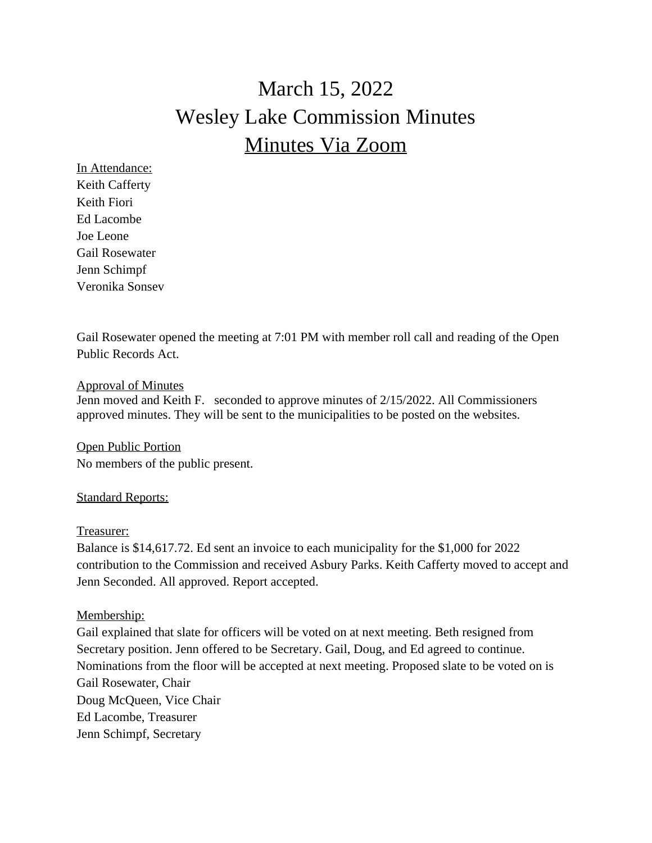# March 15, 2022 Wesley Lake Commission Minutes Minutes Via Zoom

In Attendance: Keith Cafferty Keith Fiori Ed Lacombe Joe Leone Gail Rosewater Jenn Schimpf Veronika Sonsev

Gail Rosewater opened the meeting at 7:01 PM with member roll call and reading of the Open Public Records Act.

#### Approval of Minutes

Jenn moved and Keith F. seconded to approve minutes of 2/15/2022. All Commissioners approved minutes. They will be sent to the municipalities to be posted on the websites.

Open Public Portion No members of the public present.

### **Standard Reports:**

#### Treasurer:

Balance is \$14,617.72. Ed sent an invoice to each municipality for the \$1,000 for 2022 contribution to the Commission and received Asbury Parks. Keith Cafferty moved to accept and Jenn Seconded. All approved. Report accepted.

### Membership:

Gail explained that slate for officers will be voted on at next meeting. Beth resigned from Secretary position. Jenn offered to be Secretary. Gail, Doug, and Ed agreed to continue. Nominations from the floor will be accepted at next meeting. Proposed slate to be voted on is Gail Rosewater, Chair Doug McQueen, Vice Chair Ed Lacombe, Treasurer Jenn Schimpf, Secretary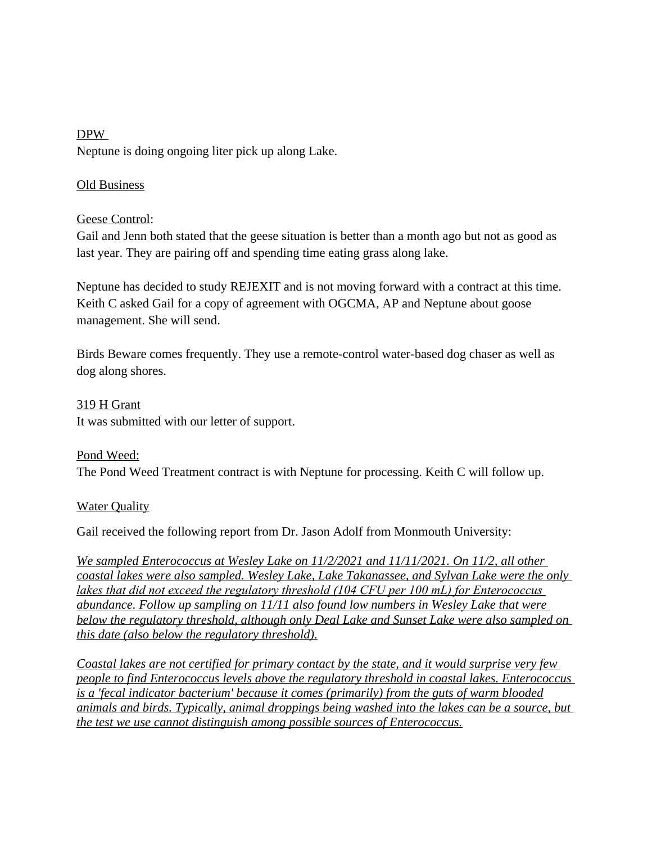### DPW

Neptune is doing ongoing liter pick up along Lake.

### Old Business

### Geese Control:

Gail and Jenn both stated that the geese situation is better than a month ago but not as good as last year. They are pairing off and spending time eating grass along lake.

Neptune has decided to study REJEXIT and is not moving forward with a contract at this time. Keith C asked Gail for a copy of agreement with OGCMA, AP and Neptune about goose management. She will send.

Birds Beware comes frequently. They use a remote-control water-based dog chaser as well as dog along shores.

## 319 H Grant It was submitted with our letter of support.

### Pond Weed:

The Pond Weed Treatment contract is with Neptune for processing. Keith C will follow up.

### Water Quality

Gail received the following report from Dr. Jason Adolf from Monmouth University:

*We sampled Enterococcus at Wesley Lake on 11/2/2021 and 11/11/2021. On 11/2, all other coastal lakes were also sampled. Wesley Lake, Lake Takanassee, and Sylvan Lake were the only lakes that did not exceed the regulatory threshold (104 CFU per 100 mL) for Enterococcus abundance. Follow up sampling on 11/11 also found low numbers in Wesley Lake that were below the regulatory threshold, although only Deal Lake and Sunset Lake were also sampled on this date (also below the regulatory threshold).*

*Coastal lakes are not certified for primary contact by the state, and it would surprise very few people to find Enterococcus levels above the regulatory threshold in coastal lakes. Enterococcus is a 'fecal indicator bacterium' because it comes (primarily) from the guts of warm blooded animals and birds. Typically, animal droppings being washed into the lakes can be a source, but the test we use cannot distinguish among possible sources of Enterococcus.*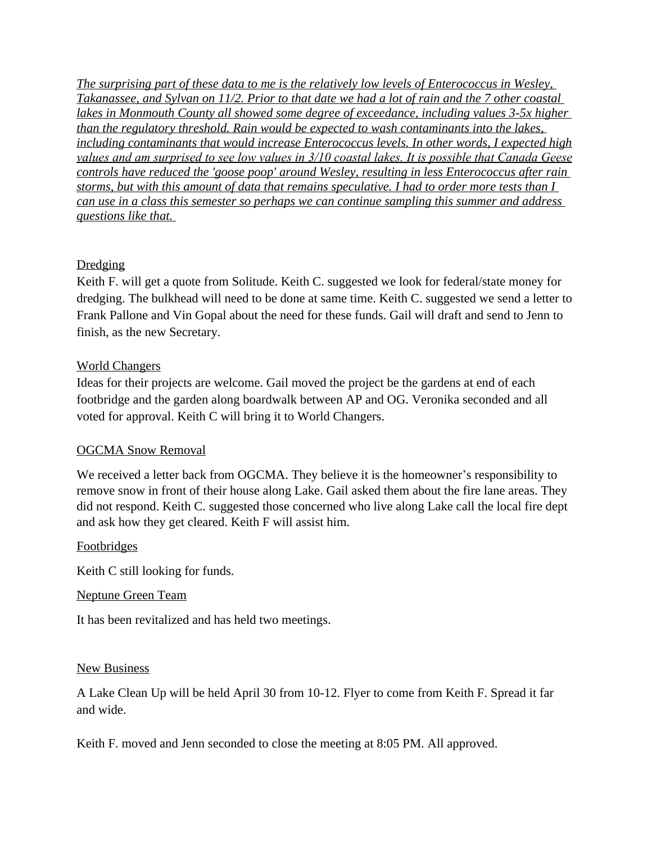*The surprising part of these data to me is the relatively low levels of Enterococcus in Wesley, Takanassee, and Sylvan on 11/2. Prior to that date we had a lot of rain and the 7 other coastal lakes in Monmouth County all showed some degree of exceedance, including values 3-5x higher than the regulatory threshold. Rain would be expected to wash contaminants into the lakes, including contaminants that would increase Enterococcus levels. In other words, I expected high values and am surprised to see low values in 3/10 coastal lakes. It is possible that Canada Geese controls have reduced the 'goose poop' around Wesley, resulting in less Enterococcus after rain storms, but with this amount of data that remains speculative. I had to order more tests than I can use in a class this semester so perhaps we can continue sampling this summer and address questions like that.* 

## **Dredging**

Keith F. will get a quote from Solitude. Keith C. suggested we look for federal/state money for dredging. The bulkhead will need to be done at same time. Keith C. suggested we send a letter to Frank Pallone and Vin Gopal about the need for these funds. Gail will draft and send to Jenn to finish, as the new Secretary.

## World Changers

Ideas for their projects are welcome. Gail moved the project be the gardens at end of each footbridge and the garden along boardwalk between AP and OG. Veronika seconded and all voted for approval. Keith C will bring it to World Changers.

## OGCMA Snow Removal

We received a letter back from OGCMA. They believe it is the homeowner's responsibility to remove snow in front of their house along Lake. Gail asked them about the fire lane areas. They did not respond. Keith C. suggested those concerned who live along Lake call the local fire dept and ask how they get cleared. Keith F will assist him.

## Footbridges

Keith C still looking for funds.

## Neptune Green Team

It has been revitalized and has held two meetings.

### New Business

A Lake Clean Up will be held April 30 from 10-12. Flyer to come from Keith F. Spread it far and wide.

Keith F. moved and Jenn seconded to close the meeting at 8:05 PM. All approved.